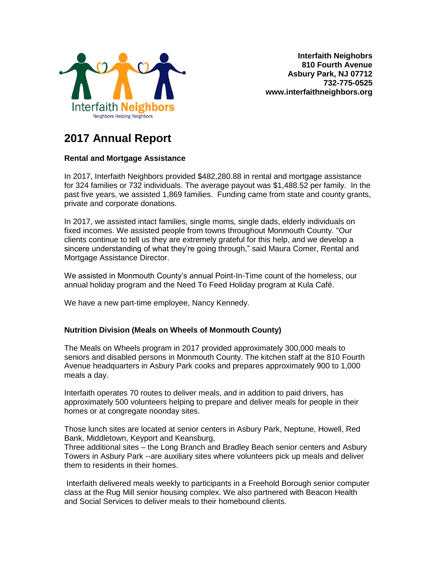

**Interfaith Neighobrs 810 Fourth Avenue Asbury Park, NJ 07712 732-775-0525 www.interfaithneighbors.org**

# **2017 Annual Report**

# **Rental and Mortgage Assistance**

In 2017, Interfaith Neighbors provided \$482,280.88 in rental and mortgage assistance for 324 families or 732 individuals. The average payout was \$1,488.52 per family. In the past five years, we assisted 1,869 families. Funding came from state and county grants, private and corporate donations.

In 2017, we assisted intact families, single moms, single dads, elderly individuals on fixed incomes. We assisted people from towns throughout Monmouth County. "Our clients continue to tell us they are extremely grateful for this help, and we develop a sincere understanding of what they're going through," said Maura Comer, Rental and Mortgage Assistance Director.

We assisted in Monmouth County's annual Point-In-Time count of the homeless, our annual holiday program and the Need To Feed Holiday program at Kula Café.

We have a new part-time employee, Nancy Kennedy.

## **Nutrition Division (Meals on Wheels of Monmouth County)**

The Meals on Wheels program in 2017 provided approximately 300,000 meals to seniors and disabled persons in Monmouth County. The kitchen staff at the 810 Fourth Avenue headquarters in Asbury Park cooks and prepares approximately 900 to 1,000 meals a day.

Interfaith operates 70 routes to deliver meals, and in addition to paid drivers, has approximately 500 volunteers helping to prepare and deliver meals for people in their homes or at congregate noonday sites.

Those lunch sites are located at senior centers in Asbury Park, Neptune, Howell, Red Bank, Middletown, Keyport and Keansburg,

Three additional sites – the Long Branch and Bradley Beach senior centers and Asbury Towers in Asbury Park --are auxiliary sites where volunteers pick up meals and deliver them to residents in their homes.

Interfaith delivered meals weekly to participants in a Freehold Borough senior computer class at the Rug Mill senior housing complex. We also partnered with Beacon Health and Social Services to deliver meals to their homebound clients.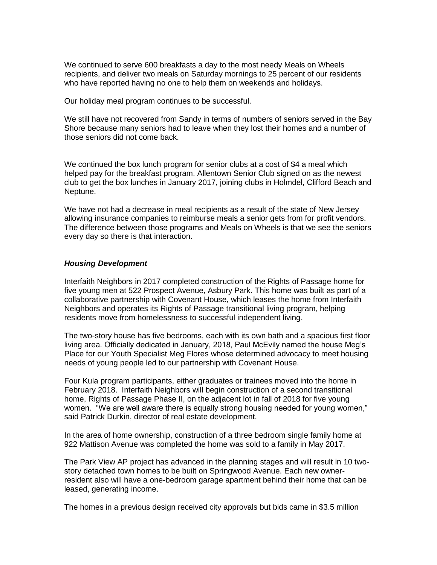We continued to serve 600 breakfasts a day to the most needy Meals on Wheels recipients, and deliver two meals on Saturday mornings to 25 percent of our residents who have reported having no one to help them on weekends and holidays.

Our holiday meal program continues to be successful.

We still have not recovered from Sandy in terms of numbers of seniors served in the Bay Shore because many seniors had to leave when they lost their homes and a number of those seniors did not come back.

We continued the box lunch program for senior clubs at a cost of \$4 a meal which helped pay for the breakfast program. Allentown Senior Club signed on as the newest club to get the box lunches in January 2017, joining clubs in Holmdel, Clifford Beach and Neptune.

We have not had a decrease in meal recipients as a result of the state of New Jersey allowing insurance companies to reimburse meals a senior gets from for profit vendors. The difference between those programs and Meals on Wheels is that we see the seniors every day so there is that interaction.

#### *Housing Development*

Interfaith Neighbors in 2017 completed construction of the Rights of Passage home for five young men at 522 Prospect Avenue, Asbury Park. This home was built as part of a collaborative partnership with Covenant House, which leases the home from Interfaith Neighbors and operates its Rights of Passage transitional living program, helping residents move from homelessness to successful independent living.

The two-story house has five bedrooms, each with its own bath and a spacious first floor living area. Officially dedicated in January, 2018, Paul McEvily named the house Meg's Place for our Youth Specialist Meg Flores whose determined advocacy to meet housing needs of young people led to our partnership with Covenant House.

Four Kula program participants, either graduates or trainees moved into the home in February 2018. Interfaith Neighbors will begin construction of a second transitional home, Rights of Passage Phase II, on the adjacent lot in fall of 2018 for five young women. "We are well aware there is equally strong housing needed for young women," said Patrick Durkin, director of real estate development.

In the area of home ownership, construction of a three bedroom single family home at 922 Mattison Avenue was completed the home was sold to a family in May 2017.

The Park View AP project has advanced in the planning stages and will result in 10 twostory detached town homes to be built on Springwood Avenue. Each new ownerresident also will have a one-bedroom garage apartment behind their home that can be leased, generating income.

The homes in a previous design received city approvals but bids came in \$3.5 million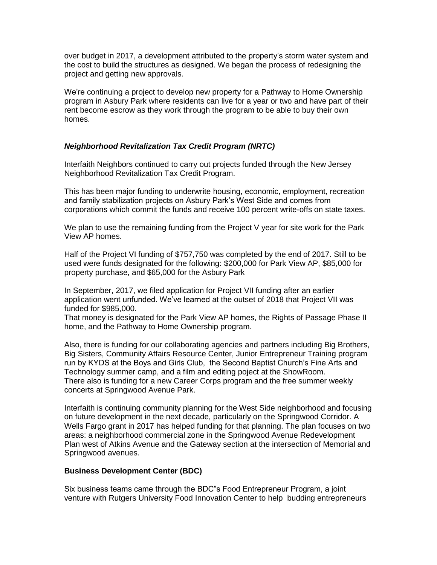over budget in 2017, a development attributed to the property's storm water system and the cost to build the structures as designed. We began the process of redesigning the project and getting new approvals.

We're continuing a project to develop new property for a Pathway to Home Ownership program in Asbury Park where residents can live for a year or two and have part of their rent become escrow as they work through the program to be able to buy their own homes.

#### *Neighborhood Revitalization Tax Credit Program (NRTC)*

Interfaith Neighbors continued to carry out projects funded through the New Jersey Neighborhood Revitalization Tax Credit Program.

This has been major funding to underwrite housing, economic, employment, recreation and family stabilization projects on Asbury Park's West Side and comes from corporations which commit the funds and receive 100 percent write-offs on state taxes.

We plan to use the remaining funding from the Project V year for site work for the Park View AP homes.

Half of the Project VI funding of \$757,750 was completed by the end of 2017. Still to be used were funds designated for the following: \$200,000 for Park View AP, \$85,000 for property purchase, and \$65,000 for the Asbury Park

In September, 2017, we filed application for Project VII funding after an earlier application went unfunded. We've learned at the outset of 2018 that Project VII was funded for \$985,000.

That money is designated for the Park View AP homes, the Rights of Passage Phase II home, and the Pathway to Home Ownership program.

Also, there is funding for our collaborating agencies and partners including Big Brothers, Big Sisters, Community Affairs Resource Center, Junior Entrepreneur Training program run by KYDS at the Boys and Girls Club, the Second Baptist Church's Fine Arts and Technology summer camp, and a film and editing poject at the ShowRoom. There also is funding for a new Career Corps program and the free summer weekly concerts at Springwood Avenue Park.

Interfaith is continuing community planning for the West Side neighborhood and focusing on future development in the next decade, particularly on the Springwood Corridor. A Wells Fargo grant in 2017 has helped funding for that planning. The plan focuses on two areas: a neighborhood commercial zone in the Springwood Avenue Redevelopment Plan west of Atkins Avenue and the Gateway section at the intersection of Memorial and Springwood avenues.

#### **Business Development Center (BDC)**

Six business teams came through the BDC"s Food Entrepreneur Program, a joint venture with Rutgers University Food Innovation Center to help budding entrepreneurs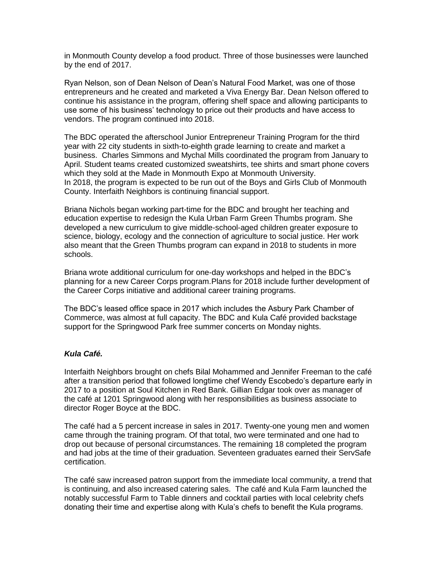in Monmouth County develop a food product. Three of those businesses were launched by the end of 2017.

Ryan Nelson, son of Dean Nelson of Dean's Natural Food Market, was one of those entrepreneurs and he created and marketed a Viva Energy Bar. Dean Nelson offered to continue his assistance in the program, offering shelf space and allowing participants to use some of his business' technology to price out their products and have access to vendors. The program continued into 2018.

The BDC operated the afterschool Junior Entrepreneur Training Program for the third year with 22 city students in sixth-to-eighth grade learning to create and market a business. Charles Simmons and Mychal Mills coordinated the program from January to April. Student teams created customized sweatshirts, tee shirts and smart phone covers which they sold at the Made in Monmouth Expo at Monmouth University. In 2018, the program is expected to be run out of the Boys and Girls Club of Monmouth County. Interfaith Neighbors is continuing financial support.

Briana Nichols began working part-time for the BDC and brought her teaching and education expertise to redesign the Kula Urban Farm Green Thumbs program. She developed a new curriculum to give middle-school-aged children greater exposure to science, biology, ecology and the connection of agriculture to social justice. Her work also meant that the Green Thumbs program can expand in 2018 to students in more schools.

Briana wrote additional curriculum for one-day workshops and helped in the BDC's planning for a new Career Corps program.Plans for 2018 include further development of the Career Corps initiative and additional career training programs.

The BDC's leased office space in 2017 which includes the Asbury Park Chamber of Commerce, was almost at full capacity. The BDC and Kula Café provided backstage support for the Springwood Park free summer concerts on Monday nights.

## *Kula Café.*

Interfaith Neighbors brought on chefs Bilal Mohammed and Jennifer Freeman to the café after a transition period that followed longtime chef Wendy Escobedo's departure early in 2017 to a position at Soul Kitchen in Red Bank. Gillian Edgar took over as manager of the café at 1201 Springwood along with her responsibilities as business associate to director Roger Boyce at the BDC.

The café had a 5 percent increase in sales in 2017. Twenty-one young men and women came through the training program. Of that total, two were terminated and one had to drop out because of personal circumstances. The remaining 18 completed the program and had jobs at the time of their graduation. Seventeen graduates earned their ServSafe certification.

The café saw increased patron support from the immediate local community, a trend that is continuing, and also increased catering sales. The café and Kula Farm launched the notably successful Farm to Table dinners and cocktail parties with local celebrity chefs donating their time and expertise along with Kula's chefs to benefit the Kula programs.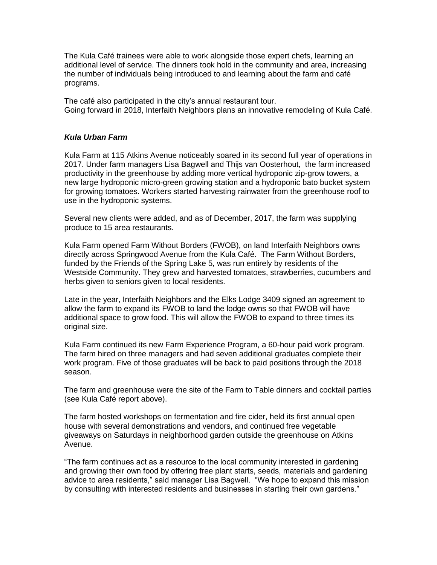The Kula Café trainees were able to work alongside those expert chefs, learning an additional level of service. The dinners took hold in the community and area, increasing the number of individuals being introduced to and learning about the farm and café programs.

The café also participated in the city's annual restaurant tour. Going forward in 2018, Interfaith Neighbors plans an innovative remodeling of Kula Café.

#### *Kula Urban Farm*

Kula Farm at 115 Atkins Avenue noticeably soared in its second full year of operations in 2017. Under farm managers Lisa Bagwell and Thijs van Oosterhout, the farm increased productivity in the greenhouse by adding more vertical hydroponic zip-grow towers, a new large hydroponic micro-green growing station and a hydroponic bato bucket system for growing tomatoes. Workers started harvesting rainwater from the greenhouse roof to use in the hydroponic systems.

Several new clients were added, and as of December, 2017, the farm was supplying produce to 15 area restaurants.

Kula Farm opened Farm Without Borders (FWOB), on land Interfaith Neighbors owns directly across Springwood Avenue from the Kula Café. The Farm Without Borders, funded by the Friends of the Spring Lake 5, was run entirely by residents of the Westside Community. They grew and harvested tomatoes, strawberries, cucumbers and herbs given to seniors given to local residents.

Late in the year, Interfaith Neighbors and the Elks Lodge 3409 signed an agreement to allow the farm to expand its FWOB to land the lodge owns so that FWOB will have additional space to grow food. This will allow the FWOB to expand to three times its original size.

Kula Farm continued its new Farm Experience Program, a 60-hour paid work program. The farm hired on three managers and had seven additional graduates complete their work program. Five of those graduates will be back to paid positions through the 2018 season.

The farm and greenhouse were the site of the Farm to Table dinners and cocktail parties (see Kula Café report above).

The farm hosted workshops on fermentation and fire cider, held its first annual open house with several demonstrations and vendors, and continued free vegetable giveaways on Saturdays in neighborhood garden outside the greenhouse on Atkins Avenue.

"The farm continues act as a resource to the local community interested in gardening and growing their own food by offering free plant starts, seeds, materials and gardening advice to area residents," said manager Lisa Bagwell. "We hope to expand this mission by consulting with interested residents and businesses in starting their own gardens."